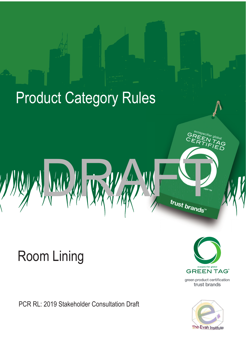# **Product Category Rules**

'5\$)7

# Room Lining

PCR RL: 2019 Stakeholder Consultation Draft



l<br>D<br>D

The Evah Institute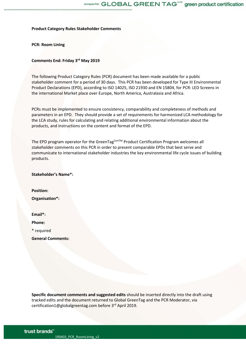**Product Category Rules Stakeholder Comments**

**PCR: Room Lining**

## **Comments End: Friday 3rd May 2019**

The following Product Category Rules (PCR) document has been made available for a public stakeholder comment for a period of 30 days. This PCR has been developed for Type III Environmental Product Declarations (EPD), according to ISO 14025, ISO 21930 and EN 15804, for PCR: LED Screens in the international Market place over Europe, North America, Australasia and Africa.

PCRs must be implemented to ensure consistency, comparability and completeness of methods and parameters in an EPD. They should provide a set of requirements for harmonized LCA methodology for the LCA study, rules for calculating and relating additional environmental information about the products, and instructions on the content and format of the EPD.

The EPD program operator for the GreenTag<sup>Cert™</sup> Product Certification Program welcomes all stakeholder comments on this PCR in order to present comparable EPDs that best serve and communicate to international stakeholder industries the key environmental life cycle issues of building products.

**Stakeholder's Name\*:**

**Position: Organisation\*:**

**Email\*: Phone:**

\* required

**General Comments:**

**Specific document comments and suggested edits** should be inserted directly into the draft using tracked edits and the document returned to Global GreenTag and the PCR Moderator, via certification1@globalgreentag.com before 3rd April 2019.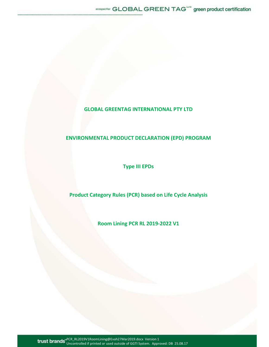## **GLOBAL GREENTAG INTERNATIONAL PTY LTD**

....................

## **ENVIRONMENTAL PRODUCT DECLARATION (EPD) PROGRAM**

**Type III EPDs** 

**Product Category Rules (PCR) based on Life Cycle Analysis** 

**Room Lining PCR RL 2019-2022 V1** 

PCR\_RL2019V1RoomLining@Evah27Mar2019.docx Version 1 Uncontrolled if printed or used outside of GGTI System. Approved: DB 25.08.17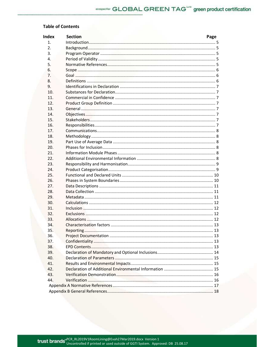## **Table of Contents**

| <b>Index</b> | <b>Section</b> | Page |
|--------------|----------------|------|
| 1.           |                |      |
| 2.           |                |      |
| 3.           |                |      |
| 4.           |                |      |
| 5.           |                |      |
| 6.           |                |      |
| 7.           |                |      |
| 8.           |                |      |
| 9.           |                |      |
| 10.          |                |      |
| 11.          |                |      |
| 12.          |                |      |
| 13.          |                |      |
| 14.          |                |      |
| 15.          |                |      |
| 16.          |                |      |
| 17.          |                |      |
| 18.          |                |      |
| 19.          |                |      |
| 20.          |                |      |
| 21.          |                |      |
| 22.          |                |      |
| 23.          |                |      |
| 24.          |                |      |
| 25.          |                |      |
| 26.          |                |      |
| 27.          |                |      |
| 28.          |                |      |
| 29.          |                |      |
| 30.          |                |      |
| 31.          |                |      |
| 32.          |                |      |
| 33.          |                |      |
| 34.          |                |      |
| 35.          |                |      |
| 36.          |                |      |
| 37.          |                |      |
| 38.          |                |      |
| 39.          |                |      |
| 40.          |                |      |
| 41.          |                |      |
| 42.          |                |      |
| 43.          |                |      |
| 44.          |                |      |
|              |                |      |
|              |                |      |
|              |                |      |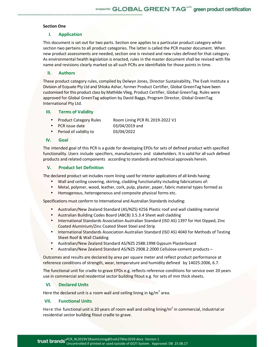## **Section One**

## **I. Application**

This document is set out for two parts. Section one applies to a particular product category while section two pertains to all product categories. The latter is called the PCR master document. When new product assessments are needed, section one is revised and new rules defined for that category. As environmental health legislation is enacted, rules in the master document shall be revised with file name and revisions clearly marked so all such PCRs are identifiable for those points in time.

## **II. Authors**

These product category rules, compiled by Delwyn Jones, Director Sustainability, The Evah Institute a Division of Ecquate Pty Ltd and Shloka Ashar, former Product Certifier, Global GreenTag have been customised for this product class by Mathilde Vlieg, Product Certifier, Global GreenTag. Rules were approved for Global GreenTag adoption by David Baggs, Program Director, Global GreenTag International Pty Ltd.

## **III. Terms of Validity**

- Product Category Rules Room Lining PCR RL 2019-2022 V1
- PCR issue date
- 03/04/2019 and
- Period of validity to 03/04/2022

## **IV. Goal**

The intended goal of this PCR is a guide for developing EPDs for sets of defined product with specified functionality. Users include specifiers, manufacturers and stakeholders. It is valid for all such defined products and related components according to standards and technical approvals herein.

## **V. Product Set Definition**

The declared product set includes room lining used for interior applications of all kinds having:

- Wall and ceiling covering, skirting, cladding functionality including fabrications of:
- Metal, polymer, wood, leather, cork, pulp, plaster, paper, fabric material types formed as
- Homogenous, heterogeneous and composite physical forms etc.

Specifications must conform to International and Australian Standards including:

- Australian/New Zealand Standard (AS/NZS) 4256 Plastic roof and wall cladding material
- Australian Building Codes Board (ABCB) 3.5.3.4 Sheet wall cladding
- International Standards Association Australian Standard (ISO AS) 1397 for Hot Dipped, Zinc Coated Aluminium/Zinc Coated Sheet Steel and Strip
- International Standards Association Australian Standard (ISO AS) 4040 for Methods of Testing Sheet Roof & Wall Cladding
- Australian/New Zealand Standard AS/NZS 2588:1998 Gypsum Plasterboard
- Australian/New Zealand Standard AS/NZS 2908.2:2000 Cellulose-cement products –

Outcomes and results are declared by area per square meter and reflect product performance at reference conditions of strength, wear, temperature and humidity defined by 14025:2006, 6.7.

The functional unit for cradle to grave EPDs e.g. reflects reference conditions for service over 20 years use in commercial and residential sector building fitout e.g. for sets of mm thick sheets.

## **VI. Declared Units**

Here the declared unit is a room wall and ceiling lining in  $\text{kg/m}^2$  area.

## **VII. Functional Units**

Here the functional unit is 20 years of room wall and ceiling lining/m<sup>2</sup> in commercial, industrial or residential sector building fitout cradle to grave.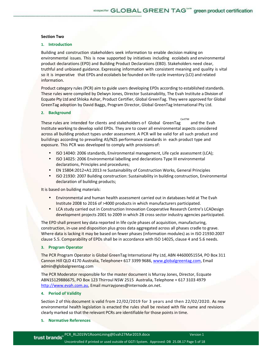#### **Section Two**

### **1. Introduction**

Building and construction stakeholders seek information to enable decision making on environmental issues. This is now supported by initiatives including ecolabels and environmental product declarations (EPD) and Building Product Declarations (EBD). Stakeholders need clear, truthful and unbiased guidance. Expressing information with consistent meaning and quality is vital so it is imperative that EPDs and ecolabels be founded on life-cycle inventory (LCI) and related information.

Product category rules (PCR) aim to guide users developing EPDs according to established standards. These rules were compiled by Delwyn Jones, Director Sustainability, The Evah Institute a Division of Ecquate Pty Ltd and Shloka Ashar, Product Certifier, Global GreenTag. They were approved for Global GreenTag adoption by David Baggs, Program Director, Global GreenTag International Pty Ltd.

#### **2. Background**

These rules are intended for clients and stakeholders of Global GreenTag CertTM and the Evah Institute working to develop valid EPDs. They are to cover all environmental aspects considered across all building product types under assessment. A PCR will be valid for all such product and buildings according to prevailing AS/NZS performance standards in each product type and exposure. This PCR was developed to comply with provisions of:

- ISO 14040: 2006 standards, Environmental management, Life cycle assessment (LCA);
- ISO 14025: 2006 Environmental labelling and declarations Type III environmental declarations, Principles and procedures;
- EN 15804:2012+A1:2013 re Sustainability of Construction Works, General Principles
- ISO 21930: 2007 Building construction: Sustainability in building construction, Environmental declaration of building products;

It is based on building materials:

- Environmental and human health assessment carried out in databases held at The Evah Institute 2008 to 2016 of >4000 products in which manufacturers participated.
- LCA study carried out in Construction Innovation Cooperative Research Centre's LCADesign development projects 2001 to 2009 in which 28 cross sector industry agencies participated.

The EPD shall present key data reported in life cycle phases of acquisition, manufacturing, construction, in-use and disposition plus gross data aggregated across all phases cradle to grave. Where data is lacking it may be based on fewer phases (information modules) as in ISO 21930:2007 clause 5.5. Comparability of EPDs shall be in accordance with ISO 14025, clause 4 and 5.6 needs.

#### **3. Program Operator**

The PCR Program Operator is Global GreenTag International Pty Ltd, ABN 44600051554, PO Box 311 Cannon Hill QLD 4170 Australia, Telephone+ 617 3399 9686, www.globalgreentag.com, Email admin@globalgreentag.com

The PCR Moderator responsible for the master document is Murray Jones, Director, Ecquate ABN15129886675, PO Box 123 Thirroul NSW 2515 Australia, Telephone + 617 3103 4979 http://www.evah.com.au, Email murrayjones@internode.on.net.

#### **4. Period of Validity**

Section 2 of this document is valid from 22/02/2019 for 3 years and then 22/02/2020. As new environmental health legislation is enacted the rules shall be revised with file name and revisions clearly marked so that the relevant PCRs are identifiable for those points in time.

#### **5. Normative References**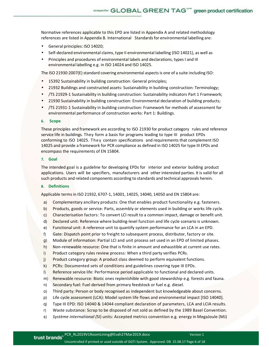Normative references applicable to this EPD are listed in Appendix A and related methodology references are listed in Appendix B. International Standards for environmental labelling are:

• General principles: ISO 14020;

- Self-declared environmental claims, type II environmental labelling (ISO 14021), as well as
- Principles and procedures of environmental labels and declarations, types I and III environmental labelling e.g. in ISO 14024 and ISO 14025.

The ISO 21930:2007(E) standard covering environmental aspects is one of a suite including ISO:

- 15392 Sustainability in building construction: General principles;
- 21932 Buildings and constructed assets: Sustainability in building construction: Terminology;
- /TS 21929-1 Sustainability in building construction: Sustainability indicators Part 1 Framework;
- 21930 Sustainability in building construction: Environmental declaration of building products;
- /TS 21931-1 Sustainability in building construction: Framework for methods of assessment for environmental performance of construction works: Part 1: Buildings.

#### **6. Scope**

These principles and framework are according to ISO 21930 for product category rules and reference service life in buildings. They form a basis for programs leading to type III product EPDs conforming to ISO 14025. T he y contain specifications and requirements that complement ISO 14025 and provide a framework for PCR compliance as defined in ISO 14025 for type III EPDs and encompass the requirements of EN 15804.

## **7. Goal**

The intended goal is a guideline for developing EPDs for interior and exterior building product applications. Users will be specifiers, manufacturers and other interested parties. It is valid for all such products and related components according to standards and technical approvals herein.

#### **8. Definitions**

Applicable terms in ISO 21932, 6707-1, 14001, 14025, 14040, 14050 and EN 15804 are:

- a) Complementary ancillary products: One that enables product functionality e.g. fasteners.
- b) Products, goods or service: Parts, assembly or elements used in building or works life cycle.
- c) Characterisation factors: To convert LCI result to a common impact, damage or benefit unit.
- d) Declared unit: Reference where building-level function and life cycle scenario is unknown.
- e) Functional unit: A reference unit to quantify system performance for an LCA in an EPD.
- f) Gate: Dispatch point prior to freight to subsequent process, distributor, factory or site.
- g) Module of information: Partial LCI and unit process set used in an EPD of limited phases.
- h) Non-renewable resource: One that is finite in amount and exhaustible at current use rates.
- i) Product category rules review process: When a third party verifies PCRs.
- j) Product category group: A product class deemed to perform equivalent functions.
- k) PCRs: Documented sets of conditions and guidelines covering type III EPDs.
- l) Reference service life: Performance period applicable to functional and declared units.
- m) Renewable resource: Biotic ones replenishible with good stewardship e.g. forests and fauna.
- n) Secondary fuel: Fuel derived from primary feedstock or fuel e.g. diesel.
- o) Third party: Person or body recognised as independent but knowledgeable about concerns.
- p) Life cycle assessment (LCA): Model system life flows and environmental impact [ISO 14040].
- q) Type III EPD: ISO 14040 & 14044 compliant declaration of parameters, LCA and LCIA results.
- r) Waste substance: Scrap to be disposed of not sold as defined by the 1989 Basel Convention.
- s) *Système international (*SI) units: Accepted metrics convention e.g. energy in MegaJoule (MJ)

Uncontrolled if printed or used outside of GGTI System. Approved: DB 25.08.17 Page 6 of 18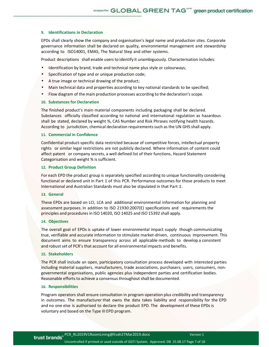#### **9. Identifications in Declaration**

EPDs shall clearly show the company and organisation's legal name and production sites. Corporate governance information shall be declared on quality, environmental management and stewardship according to ISO14001, EMAS, The Natural Step and other systems.

Product descriptions shall enable users to identify it unambiguously. Characterisation includes:

- Identification by brand, trade and technical name plus style or colourways;
- Specification of type and or unique production code;
- A true image or technical drawing of the product;
- Main technical data and properties according to key national standards to be specified;
- Flow diagram of the main production processes according to the declaration's scope.

## **10. Substances for Declaration**

The finished product's main material components including packaging shall be declared. Substances officially classified according to national and international regulation as hazardous shall be stated, declared by weight %, CAS Number and Risk Phrases notifying health hazards. According to jurisdiction, chemical declaration requirements such as the UN GHS shall apply.

#### **11. Commercial in Confidence**

Confidential product-specific data restricted because of competitive forces, intellectual property rights or similar legal restrictions are not publicly declared. Where information of content could affect patent or company secrets, a well defined list of their functions, Hazard Statement Categorisation and weight % is sufficient.

#### **12. Product Group Definition**

For each EPD the product group is separately specified according to unique functionality considering functional or declared unit in Part 1 of this PCR. Performance outcomes for those products to meet International and Australian Standards must also be stipulated in that Part 1.

#### **13. General**

These EPDs are based on LCI, LCA and additional environmental information for planning and assessment purposes. In addition to ISO 21930:2007(E) specifications and requirements the principles and procedures in ISO 14020, ISO 14025 and ISO 15392 shall apply.

#### **14. Objectives**

The overall goal of EPDs is uptake of lower environmental impact supply though communicating true, verifiable and accurate information to stimulate market-driven, continuous improvement. This document aims to ensure transparency across all applicable methods to develop a consistent and robust set of PCR's that account for all environmental impacts and benefits.

#### **15. Stakeholders**

The PCR shall include an open, participatory consultation process developed with interested parties including material suppliers, manufacturers, trade associations, purchasers, users, consumers, nongovernmental organisations, public agencies plus independent parties and certification bodies. Reasonable efforts to achieve a consensus throughout shall be documented.

#### **16. Responsibilities**

Program operators shall ensure consultation in program operation plus credibility and transparency in outcomes. The manufacturer that owns the data takes liability and responsibility for the EPD and no one else is authorised to declare the product EPD. The development of these EPDs is voluntary and based on the Type III EPD program.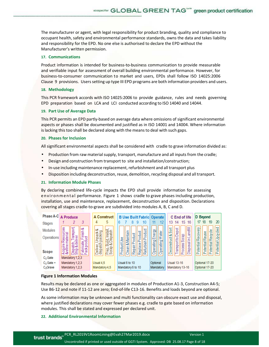The manufacturer or agent, with legal responsibility for product branding, quality and compliance to occupant health, safety and environmental performance standards, owns the data and takes liability and responsibility for the EPD. No one else is authorised to declare the EPD without the Manufacturer's written permission.

#### **17. Communications**

Product information is intended for business-to-business communication to provide measurable and verifiable input for assessment of overall building environmental performance. However, for business-to-consumer communication to market and users, EPDs shall follow ISO 14025:2006 Clause 9 provisions. Users setting up type III EPD programs are both information providers and users.

#### **18. Methodology**

This PCR framework accords with ISO 14025:2006 to provide guidance, rules and needs governing EPD preparation based on LCA and LCI conducted according to ISO 14040 and 14044.

#### **19. Part Use of Average Data**

This PCR permits an EPD partly-based on average data where omissions of significant environmental aspects or phases shall be documented and justified as in ISO 14001 and 14004. Where information is lacking this too shall be declared along with the means to deal with such gaps.

#### **20. Phases for Inclusion**

All significant environmental aspects shall be considered with cradle to grave information divided as:

- Production from raw material supply, transport, manufacture and all inputs from the cradle;
- Design and construction from transport to site and installation/construction;
- In-use including maintenance replacement, refurbishment and all transport plus
- Disposition including deconstruction, reuse, demolition, recycling disposal and all transport.

#### **21. Information Module Phases**

By declaring combined life-cycle impacts the EPD shall provide information for assessing en viron mental performance. Figure 1 shows cradle to grave phases including production, installation, use and maintenance, replacement, deconstruction and disposition. Declarations covering all stages cradle-to-grave are subdivided into modules A, B, C and D.



#### **Figure 1 Information Modules**

Results may be declared as one or aggregated in modules of Production A1-3, Construction A4-5; Use B6-12 and note if 11-12 are zero; End-of-life C13-16. Benefits and loads beyond are optional.

As some information may be unknown and multi functionality can obscure exact use and disposal, where justified declarations may cover fewer phases e.g. cradle to gate based on information modules. This shall be stated and expressed per declared unit.

#### **22. Additional Environmental Information**

| <b>trust brands</b> PCR_RL2019V1RoomLining@Evah27Mar2019.docx                              | Version 1 |
|--------------------------------------------------------------------------------------------|-----------|
| Uncontrolled if printed or used outside of GGTI System. Approved: DB 25.08.17 Page 8 of 18 |           |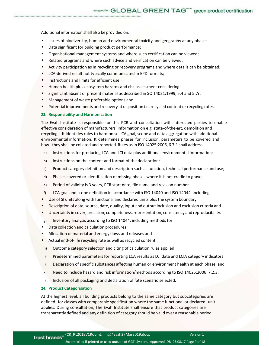Additional information shall also be provided on:

- Issues of biodiversity, human and environmental toxicity and geography at any phase;
- Data significant for building product performance;
- Organisational management systems and where such certification can be viewed;
- Related programs and where such advice and verification can be viewed;
- Activity participation as in recycling or recovery programs and where details can be obtained;
- LCA-derived result not typically communicated in EPD formats;
- Instructions and limits for efficient use;
- Human health plus ecosystem hazards and risk assessment considering:
- Significant absent or present material as described in SO 14021:1999, 5.4 and 5.7r;
- Management of waste preferable options and
- Potential improvements and recovery at disposition i.e. recycled content or recycling rates.

#### **23. Responsibility and Harmonisation**

The Evah Institute is responsible for this PCR and consultation with interested parties to enable effective consideration of manufacturers' information on e.g. state-of-the-art, demolition and recycling. It identifies rules to harmonise LCA goal, scope and data aggregation with additional environmental information. It determines phases for inclusion, parameters to be covered and how they shall be collated and reported. Rules as in ISO 14025:2006, 6.7.1 shall address:

- a) Instructions for producing LCA and LCI data plus additional environmental information;
- b) Instructions on the content and format of the declaration;
- c) Product category definition and description such as function, technical performance and use;
- d) Phases covered or identification of missing phases where it is not cradle to grave;
- e) Period of validity is 3 years, PCR start date, file name and revision number.
- f) LCA goal and scope definition in accordance with ISO 14040 and ISO 14044, including:
- Use of SI units along with functional and declared units plus the system boundary;
- Description of data, source, date, quality, input and output inclusion and exclusion criteria and
- Uncertainty in cover, precision, completeness, representation, consistency and reproducibility.
- g) Inventory analysis according to ISO 14044, including methods for:
- Data collection and calculation procedures;
- Allocation of material and energy flows and releases and
- Actual end-of-life recycling rate as well as recycled content.
- h) Outcome category selection and citing of calculation rules applied;
- i) Predetermined parameters for reporting LCA results as LCI data and LCIA category indicators;
- j) Declaration of specific substances affecting human or environment health at each phase, and
- k) Need to include hazard and risk information/methods according to ISO 14025:2006, 7.2.3.
- I) Inclusion of all packaging and declaration of fate scenario selected.

#### **24. Product Categorisation**

At the highest level, all building products belong to the same category but subcategories are defined for classes with comparable specification where the same functional or declared unit applies. During consultation, The Evah Institute shall ensure that product categories are transparently defined and any definition of category should be valid over a reasonable period.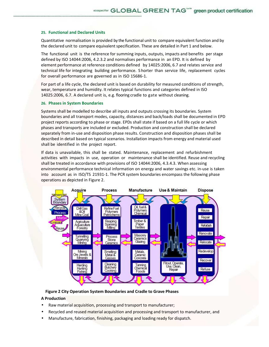#### **25. Functional and Declared Units**

Quantitative normalisation is provided by the functional unit to compare equivalent function and by the declared unit to compare equivalent specification. These are detailed in Part 1 and below.

The functional unit is the reference for summing inputs, outputs, impacts and benefits per stage defined by ISO 14044:2006, 4.2.3.2 and normalises performance in an EPD. It is defined by element performance at reference conditions defined by 14025:2006, 6.7 and relates service and technical life for integrating building performance. S horter than service life, replacement cycles for overall performance are governed as in ISO 15686-1.

For part of a life cycle, the declared unit is based on durability for measured conditions of strength, wear, temperature and humidity. It relates typical functions and categories defined in ISO 14025:2006, 6.7. A declared unit is, e.g. flooring cradle to gate without cleaning.

#### **26. Phases in System Boundaries**

Systems shall be modelled to describe all inputs and outputs crossing its boundaries. System boundaries and all transport modes, capacity, distances and back/loads shall be documented in EPD project reports according to phase or stage. EPDs shall state if based on a full life cycle or which phases and transports are included or excluded. Production and construction shall be declared separately from in-use and disposition phase results. Construction and disposition phases shall be described in detail based on typical scenarios. Installation impacts from energy and material used shall be identified in the project report.

If data is unavailable, this shall be stated. Maintenance, replacement and refurbishment activities with impacts in use, operation or maintenance shall be identified. Reuse and recycling shall be treated in accordance with provisions of ISO 14044:2006, 4.3.4.3. When assessing environmental performance technical information on energy and water savings etc. in-use is taken into account as in ISO/TS 21931-1. The PCR system boundaries encompass the following phase operations as depicted in Figure 2.



**Figure 2 City Operation System Boundaries and Cradle to Grave Phases** 

### **A Production**

- Raw material acquisition, processing and transport to manufacturer;
- Recycled and reused material acquisition and processing and transport to manufacturer, and
- Manufacture, fabrication, finishing, packaging and loading ready for dispatch.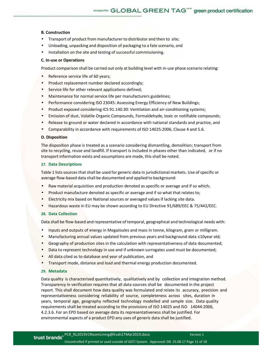#### **B. Construction**

- Transport of product from manufacturer to distributor and then to site;
- Unloading, unpacking and disposition of packaging to a fate scenario, and
- Installation on the site and testing of successful commissioning.

#### **C. In-use or Operations**

Product comparison shall be carried out only at building level with in-use phase scenario relating:

- Reference service life of 60 years;
- Product replacement number declared accordingly;
- Service life for other relevant applications defined;
- Maintenance for normal service life per manufacturers guidelines;
- Performance considering ISO 23045: Assessing Energy Efficiency of New Buildings;
- Product exposed considering ICS 91.140.30: Ventilation and air-conditioning systems;
- Emission of dust, Volatile Organic Compounds, Formaldehyde, toxic or notifiable compounds;
- Release to ground or water declared in accordance with national standards and practice, and
- Comparability in accordance with requirements of ISO 14025:2006, Clause 4 and 5.6.

#### **D. Disposition**

The disposition phase is treated as a scenario considering dismantling, demolition; transport from site to recycling, reuse and landfill. If transport is included in phases other than indicated, or if no transport information exists and assumptions are made, this shall be noted.

#### **27. Data Descriptions**

Table 1 lists sources that shall be used for generic data in jurisdictional markets. Use of specific or average flow-based data shall be documented and applied to background:

- Raw material acquisition and production denoted as specific or average and if so which;
- Product manufacture denoted as specific or average and if so what that relates to;
- Electricity mix based on National sources or averaged values if lacking site data.
- Hazardous waste in EU may be shown according to EU Directive 91/689/EEC & 75/442/EEC.

#### **28. Data Collection**

Data shall be flow-based and representative of temporal, geographical and technological needs with:

- Inputs and outputs of energy in MegaJoules and mass in tonne, kilogram, gram or milligram.
- Manufacturing annual values updated from previous years and background data ≤10year old;
- Geography of production sites in the calculation with representativeness of data documented;
- Data to represent technology in use and if unknown surrogates used must be documented;
- All data cited as to database and year of publication, and
- Transport mode, distance and load and thermal energy production documented.

## **29. Metadata**

Data quality is characterised quantitatively, qualitatively and by collection and integration method. Transparency in verification requires that all data sources shall be documented in the project report. This shall document how data quality was formulated and relate its accuracy, precision and representativeness considering reliability of source, completeness across sites, duration in years, temporal age, geography reflected technology modelled and sample size. Data quality requirements shall be treated according to the provisions of ISO 14025 and ISO 14044:2006, 4.2.3.6. For an EPD based on average data its representativeness shall be justified. For environmental aspects of a product EPD any uses of generic data shall be justified.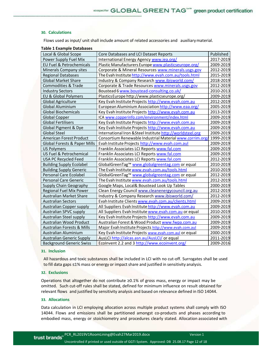#### **30. Calculations**

Flows used as input/ unit shall include amount of related accessories and auxiliary material.

| <b>Table 1 Example Databases</b>        |                                                            |           |
|-----------------------------------------|------------------------------------------------------------|-----------|
| Local & Global Scope                    | Core Databases and LCI Dataset Reports                     | Published |
| Power Supply Fuel Mix                   | International Energy Agency www.iea.org/                   | 2017-2019 |
| EU Fuel & Petrochemicals                | Plastic Manufacturers Europe www.plasticseurope.org/       | 2009-2019 |
| Minerals Company sites                  | Corporate & Mineral Resources www.minerals.usgs.gov        | 2012-2019 |
| <b>Regional Databases</b>               | The Evah Institute http://www.evah.com.au/tools.html       | 2015-2019 |
| <b>Global Market Share</b>              | Industry & Company Research www.ibisworld.com/             | 2018-2019 |
| <b>Commodities &amp; Trade</b>          | Corporate & Trade Resources www.minerals.usgs.gov          | 2012-2019 |
| <b>Industry Sectors</b>                 | Boustead 6 www.boustead-consulting.co.uk/                  | 2010-2013 |
| EU & Global Polymers                    | PlasticsEurope http://www.plasticseurope.org/              | 2009-2019 |
| <b>Global Agriculture</b>               | Key Evah Institute Projects http://www.evah.com.au         | 2012-2019 |
| Global Aluminium                        | European Aluminium Association http://www.eaa.org/         | 2005-2019 |
| <b>Global Biochemicals</b>              | Key Evah Institute Projects http://www.evah.com.au         | 2013-2019 |
| <b>Global Copper</b>                    | ICA www.copperinfo.com/environment/index.html              | 2009-2019 |
| <b>Global Fertilisers</b>               | Key Evah Institute Projects http://www.evah.com.au         | 2009-2019 |
| Global Pigment & Dye                    | Key Evah Institute Projects http://www.evah.com.au         | 2009-2019 |
| <b>Global Steel</b>                     | International Iron & Steel Institute http://worldsteel.org | 2009-2019 |
| American Forest Product                 | Consortium Renewable Industrial Material www.corrim.org/   | 1999-2019 |
| <b>Global Forests &amp; Paper Mills</b> | Evah Institute Projects http://www.evah.com.aul            | 2009-2019 |
| <b>US Polymers</b>                      | Franklin Associates LCI Reports www.fal.com                | 2009-2019 |
| US Fuel & Petrochemical                 | Franklin Associates LCI Reports www.fal.com                | 2009-2019 |
| <b>USA PC Recycled Feed</b>             | Franklin Associates LCI Reports www.fal.com                | 2012-2019 |
| <b>Building Supply Ecolabel</b>         | GlobalGreenTag™ www.globalgreentag.com or equal            | 2010-2019 |
| <b>Building Supply Generic</b>          | The Evah Institute www.evah.com.au/tools.html              | 2010-2019 |
| Personal Care Ecolabel                  | GlobalGreenTag™ www.globalgreentag.com or equal            | 2012-2019 |
| Personal Care Generic                   | The Evah Institute www.evah.com.au/tools.html              | 2012-2019 |
| Supply Chain Geography                  | Google Maps, Local& Boustead Look Up Tables                | 2000-2019 |
| Regional Fuel Mix Power                 | Clean Energy Council www.cleanenergycouncil.org.au         | 2012-2019 |
| Australian Market Share                 | Industry & Company Research www.ibisworld.com/             | 2012-2019 |
| <b>Australian Sectors</b>               | Evah Institute Clients www.evah.com.au/clients.html        | 2009-2019 |
| Australian Copper supply                | All Suppliers Evah Institute http://www.evah.com.au        | 2009-2019 |
| Australian SPVC supply                  | All Suppliers Evah Institute www.evah.com.au or equal      | 2010-2019 |
| Australian Steel supply                 | Key Evah Institute Projects http://www.evah.com.au         | 2009-2019 |
| Australian Wood Product                 | Australian Forest & Wood Product www.fwpa.com.au           | 2009-2019 |
| <b>Australian Forests &amp; Mills</b>   | Major Evah Institute Projects http://www.evah.com.aul      | 2009-2019 |
| Australian Aluminium                    | Key Evah Institute Projects www.evah.com.aul or equal      | 2000-2019 |
| <b>Australian Generic Supply</b>        | AusLCI http://alcas.asn.au/AusLCI/ or equal                | 2011-2019 |
| <b>Background Generic Swiss</b>         | Ecolnvent 2.2 and 3 http://www.ecoinvent.org/              | 2009-2016 |

#### **31. Inclusion**

All hazardous and toxic substances shall be included in LCI with no cut-off. Surrogates shall be used to fill data gaps ≤1% mass or energy or impact share and justified in sensitivity analysis.

#### **32. Exclusions**

Operations that altogether do not contribute ≥0.1% of gross mass, energy or impact may be omitted. Such cut-off rules shall be stated, defined for minimum influence on result obtained for relevant flows and justified by sensitivity analysis and based on relevance defined in ISO 14044.

#### **33. Allocations**

Data calculation in LCI employing allocation across multiple product systems shall comply with ISO 14044. Flows and emissions shall be partitioned amongst co-products and phases according to embodied mass, energy or stoichiometry and procedures clearly stated. Allocation associated with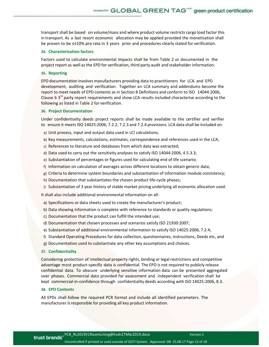transport shall be based on volume/mass and where product volume restricts cargo load factor this in transport. As a last resort economic allocation may be applied provided the monetisation shall be proven to be ≤±10% pro rata in 3 years prior and procedures clearly stated for verification.

#### **34. Characterisation factors**

Factors used to calculate environmental impacts shall be from Table 2 or documented in the project report as well as the EPD for verification, third party audit and stakeholder information.

#### **35. Reporting**

EPD documentation involves manufacturers providing data to practitioners for LCA and EPD development, auditing and verification. Together an LCA summary and addendums become the report to meet needs of EPD contents as in Section 8 Definitions and conform to ISO 14044:2006, Clause 6  $3<sup>rd</sup>$  party report requirements and show LCA results included characterise according to the following as listed in Table 2 for verification.

## **36. Project Documentation**

Under confidentiality deeds project reports shall be made available to the certifier and verifier to ensure it meets ISO 14025:2006, 7.2.2, 7.2.3 and 7.2.4 provisions. LCA data shall be included on:

- a) Unit process, input and output data used in LCI calculations;
- b) Key measurements, calculations, estimates, correspondence and references used in the LCA;
- c) References to literature and databases from which data was extracted;
- d) Data used to carry out the sensitivity analyses to satisfy ISO 14044:2006, 4.5.3.3;
- e) Substantiation of percentages or figures used for calculating end of life scenario;
- f) Information on calculation of averages across different locations to obtain generic data;
- g) Criteria to determine system boundaries and substantiation of information module consistency;
- h) Documentation that substantiates the chosen product life-cycle phases;
- i) Substantiation of 3 year history of stable market pricing underlying all economic allocation used:

It shall also include additional environmental information on all:

- a) Specifications or data sheets used to create the manufacturer's product;
- b) Data showing information is complete with reference to standards or quality regulations;
- c) Documentation that the product can fulfill the intended use;
- d) Documentation that chosen processes and scenarios satisfy ISO 21930:2007;
- e) Substantiation of additional environmental information to satisfy ISO 14025:2006, 7.2.4;
- f) Standard Operating Procedures for data collection, questionnaires, instructions, Deeds etc, and
- g) Documentation used to substantiate any other key assumptions and choices.

#### **37. Confidentiality**

Considering protection of intellectual property rights, binding or legal restrictions and competitive advantage most product-specific data is confidential. The EPD is not required to publicly release confidential data. To obscure underlying sensitive information data can be presented aggregated over phases. Commercial data provided for assessment and independent verification shall be kept commercial-in-confidence through confidentiality deeds according with ISO 14025:2006, 8.3.

#### **38. EPD Contents**

All EPDs shall follow the required PCR format and include all identified parameters. The manufacturer is responsible for providing all key product information.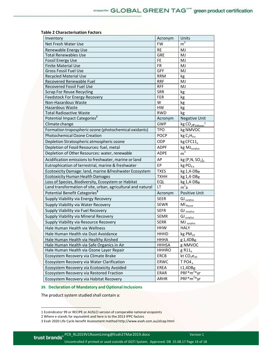### **Table 2 Characterisation Factors**

| Inventory                                                    | Acronym      | Units                                    |
|--------------------------------------------------------------|--------------|------------------------------------------|
| Net Fresh Water Use                                          | <b>FW</b>    | $m^3$                                    |
| Renewable Energy Use                                         | <b>RE</b>    | MJ                                       |
| <b>Total Renewables Use</b>                                  | <b>GRE</b>   | MJ                                       |
| <b>Fossil Energy Use</b>                                     | FE.          | MJ                                       |
| <b>Finite Material Use</b>                                   | <b>FR</b>    | MJ                                       |
| <b>Gross Fossil Fuel Use</b>                                 | GFF          | MJ                                       |
| <b>Recycled Material Use</b>                                 | <b>RRM</b>   | kg                                       |
| Recovered Renewable Fuel                                     | <b>RRF</b>   | MJ                                       |
| <b>Recovered Fossil Fuel Use</b>                             | <b>RFF</b>   | MJ                                       |
| <b>Scrap For Reuse Recycling</b>                             | <b>SRR</b>   | kg                                       |
| <b>Feedstock For Energy Recovery</b>                         | <b>FER</b>   | kg                                       |
| Non-Hazardous Waste                                          | W            | kg                                       |
| Hazardous Waste                                              | <b>HW</b>    | kg                                       |
| <b>Total Radioactive Waste</b>                               | <b>RWD</b>   | kg                                       |
| Potential Impact Categories <sup>1</sup>                     | Acronym      | <b>Negative Unit</b>                     |
| Climate change                                               | <b>GWP</b>   | kg CO <sub>2</sub> e <sub>100</sub> year |
| Formation tropospheric ozone (photochemical oxidants)        | <b>TPO</b>   | kg NMVOC                                 |
| <b>Photochemical Ozone Creation</b>                          | <b>POCP</b>  | kgC <sub>2</sub> H <sub>4e</sub>         |
| Depletion Stratospheric atmospheric ozone                    | <b>ODP</b>   | kg CFC11.                                |
| Depletion of Fossil Resources: fuel, metal                   | <b>ADPF</b>  | kg MJ <sub>surplus</sub>                 |
| Depletion of Other Resources: water, renewable               | <b>ADPE</b>  | $\overline{\rm m}^3$                     |
| Acidification emissions to freshwater, marine or land        | AP           | kg(P,N, SO <sub>2</sub> ) <sub>e</sub>   |
| Eutrophication of terrestrial, marine & freshwater           | EP           | kg PO <sub>4e</sub>                      |
| Ecotoxicity Damage: land, marine & freshwater Ecosystem      | <b>TXES</b>  | kg 1,4-DBe                               |
| <b>Ecotoxicity Human Health Damages</b>                      | <b>TXHH</b>  | kg 1,4-DBe                               |
| Loss of Species, Biodiversity, Ecosystem or Habitat          | EQL          | kg 1,4-DBe                               |
| Land transformation of site, urban, agricultural and natural | <b>LT</b>    | m <sup>2</sup> a                         |
| Potential Benefit Categories <sup>3</sup>                    | Acronym      | <b>Positive Unit</b>                     |
| Supply Viability via Energy Recovery                         | <b>SEER</b>  | GJ surplus                               |
| Supply Viability via Water Recovery                          | <b>SEWR</b>  | MI <sub>Reuse</sub>                      |
| Supply Viability via Fuel Recovery                           | <b>SEFR</b>  | GJ surplus                               |
| Supply Viability via Mineral Recovery                        | <b>SEMR</b>  | GJ <sub>surplus</sub>                    |
| Supply Viability via Resource Recovery                       | <b>SERR</b>  | MJ surplus                               |
| Hale Human Health via Wellness                               | <b>HHW</b>   | <b>HALY</b>                              |
| Hale Human Health via Dust Avoidance                         | HHHD         | $kgPM_{10}$                              |
| Hale Human Health via Healthy Airshed                        | <b>HHHA</b>  | g 1,4DBe                                 |
| Hale Human Health via Safe Organics in Air                   | <b>HHHSA</b> | g NMVOC                                  |
| Hale Human Health via Ozone Layer Repair                     | <b>HHHRO</b> | $g$ R11 $_e$                             |
| Ecosystem Recovery via Climate Brake                         | <b>ERCB</b>  | kt $CO2e20$                              |
| Ecosystem Recovery via Water Clarification                   | ERWC         | TPO4 <sub>e</sub>                        |
| Ecosystem Recovery via Ecotoxicity Avoided                   | EREA         | t1,4DBe                                  |
| Ecosystem Recovery via Restored Fraction                     | ERAR         | $PRF*m^{2*}yr$                           |
| Ecosystem Recovery via Habitat Recovery                      | <b>ARHR</b>  | $PRF*m^{2*}vr$                           |

## **39. Declaration of Mandatory and Optional Inclusions**

The product system studied shall contain a:

l,

<sup>1</sup> EcoIndicator 99 or RECIPE or AUSLCI version of comparable national ecopoints

<sup>2</sup> Where e stands for equivalent and here is to the 2013 IPPC factors

<sup>3</sup> Evah 2020 Life Cycle benefit Assessment method http://www.evah.com.au/elcap.html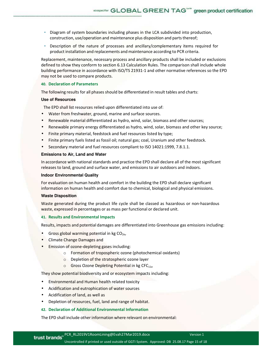- Diagram of system boundaries including phases in the LCA subdivided into production, construction, use/operation and maintenance plus disposition and parts thereof;
- Description of the nature of processes and ancillary/complementary items required for product installation and replacements and maintenance according to PCR criteria.

Replacement, maintenance, necessary process and ancillary products shall be included or exclusions defined to show they conform to section 6.13 Calculation Rules. The comparison shall include whole building performance in accordance with ISO/TS 21931-1 and other normative references so the EPD may not be used to compare products.

### **40. Declaration of Parameters**

The following results for all phases should be differentiated in result tables and charts:

#### **Use of Resources**

The EPD shall list resources relied upon differentiated into use of:

- Water from freshwater, ground, marine and surface sources.
- Renewable material differentiated as hydro, wind, solar, biomass and other sources;
- Renewable primary energy differentiated as hydro, wind, solar, biomass and other key source;
- Finite primary material, feedstock and fuel resources listed by type;
- Finite primary fuels listed as fossil oil; natural gas; coal, Uranium and other feedstock.
- Secondary material and fuel resources compliant to ISO 14021:1999, 7.8.1.1.

## **Emissions to Air, Land and Water**

In accordance with national standards and practice the EPD shall declare all of the most significant releases to land, ground and surface water, and emissions to air outdoors and indoors.

#### **Indoor Environmental Quality**

For evaluation on human health and comfort in the building the EPD shall declare significant information on human health and comfort due to chemical, biological and physical emissions.

#### **Waste Disposition**

Waste generated during the product life cycle shall be classed as hazardous or non-hazardous waste, expressed in percentages or as mass per functional or declared unit.

#### **41. Results and Environmental Impacts**

Results, impacts and potential damages are differentiated into Greenhouse gas emissions including:

- $\bullet$  Gross global warming potential in kg CO<sub>2e</sub>,
- Climate Change Damages and
- Emission of ozone-depleting gases including:
	- o Formation of tropospheric ozone (photochemical oxidants)
	- o Depletion of the stratospheric ozone layer
	- $\circ$  Gross Ozone Depleting Potential in kg CFC<sub>11e</sub>

They show potential biodiversity and or ecosystem impacts including:

- Environmental and Human health related toxicity
- Acidification and eutrophication of water sources
- Acidification of land, as well as
- Depletion of resources, fuel, land and range of habitat.

#### **42. Declaration of Additional Environmental Information**

The EPD shall include other information where relevant on environmental: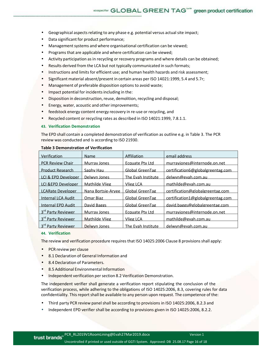- Geographical aspects relating to any phase e.g. potential versus actual site impact;
- Data significant for product performance;
- Management systems and where organisational certification can be viewed;
- Programs that are applicable and where certification can be viewed;
- Activity participation as in recycling or recovery programs and where details can be obtained;
- Results derived from the LCA but not typically communicated in such formats;
- Instructions and limits for efficient use; and human health hazards and risk assessment;
- Significant material absent/present in certain areas per ISO 14021:1999, 5.4 and 5.7r;
- Management of preferable disposition options to avoid waste;
- Impact potential for incidents including in the:
- Disposition in deconstruction, reuse, demolition, recycling and disposal;
- Energy, water, acoustic and other improvements;
- feedstock energy content energy recovery in re-use or recycling, and
- Recycled content or recycling rates as described in ISO 14021:1999, 7.8.1.1.

#### **43. Verification Demonstration**

The EPD shall contain a completed demonstration of verification as outline e.g. in Table 3. The PCR review was conducted and is according to ISO 21930.

| Verification                   | Name                | Affiliation            | email address                     |
|--------------------------------|---------------------|------------------------|-----------------------------------|
| <b>PCR Review Chair</b>        | <b>Murray Jones</b> | <b>Ecquate Pty Ltd</b> | murraviones@internode.on.net      |
| <b>Product Research</b>        | Saphy Hau           | <b>Global GreenTag</b> | certification6@globalgreentag.com |
| LCI & EPD Developer            | Delwyn Jones        | The Evah Institute     | delwyn@evah.com.au                |
| LCI & EPD Developer            | Mathilde Vlieg      | Vlieg LCA              | mathilde@evah.com.au              |
| <b>LCARate Developer</b>       | Nana Bortsie-Arvee  | Global GreenTag        | certification@globalgreentag.com  |
| Internal LCA Audit             | Omar Biaz           | <b>Global GreenTag</b> | certification1@globalgreentag.com |
| <b>Internal EPD Audit</b>      | David Baggs         | <b>Global GreenTag</b> | david.baggs@globalgreentag.com    |
| 3rd Party Reviewer             | <b>Murray Jones</b> | <b>Ecquate Pty Ltd</b> | murraviones@internode.on.net      |
| 3 <sup>rd</sup> Party Reviewer | Mathilde Vlieg      | <b>Vlieg LCA</b>       | mathilde@evah.com.au              |
| 3rd Party Reviewer             | Delwyn Jones        | The Evah Institute     | delwyn@evah.com.au                |

#### **Table 3 Demonstration of Verification**

#### **44. Verification**

The review and verification procedure requires that ISO 14025:2006 Clause 8 provisions shall apply:

- PCR review per clause
- 8.1 Declaration of General Information and
- 8.4 Declaration of Parameters.
- 8.5 Additional Environmental Information
- Independent verification per section 8.2 Verification Demonstration.

The independent verifier shall generate a verification report stipulating the conclusion of the verification process, while adhering to the obligations of ISO 14025:2006, 8.3, covering rules for data confidentiality. This report shall be available to any person upon request. The competence of the:

- Third party PCR review panel shall be according to provisions in ISO 14025:2006, 8.2.3 and
- Independent EPD verifier shall be according to provisions given in ISO 14025:2006, 8.2.2.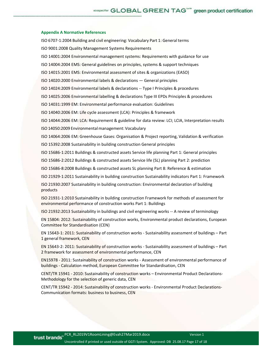## ecospecifier GLOBAL GREEN TAG<sup>""</sup> green product certification

#### **Appendix A Normative References**

ISO 6707-1:2004 Building and civil engineering: Vocabulary Part 1: General terms

ISO 9001:2008 Quality Management Systems Requirements

ISO 14001:2004 Environmental management systems: Requirements with guidance for use

ISO 14004:2004 EMS: General guidelines on principles, systems & support techniques

ISO 14015:2001 EMS: Environmental assessment of sites & organizations (EASO)

ISO 14020:2000 Environmental labels & declarations — General principles

ISO 14024:2009 Environmental labels & declarations -- Type I Principles & procedures

ISO 14025:2006 Environmental labelling & declarations Type III EPDs Principles & procedures

ISO 14031:1999 EM: Environmental performance evaluation: Guidelines

ISO 14040:2006 EM: Life cycle assessment (LCA): Principles & framework

ISO 14044:2006 EM: LCA: Requirement & guideline for data review: LCI; LCIA, Interpretation results

ISO 14050:2009 Environmental management: Vocabulary

ISO 14064:2006 EM: Greenhouse Gases: Organisation & Project reporting, Validation & verification

ISO 15392:2008 Sustainability in building construction General principles

ISO 15686-1:2011 Buildings & constructed assets Service life planning Part 1: General principles

ISO 15686-2:2012 Buildings & constructed assets Service life (SL) planning Part 2: prediction

ISO 15686-8:2008 Buildings & constructed assets SL planning Part 8: Reference & estimation

ISO 21929-1:2011 Sustainability in building construction Sustainability indicators Part 1: Framework

ISO 21930:2007 Sustainability in building construction: Environmental declaration of building products

ISO 21931-1:2010 Sustainability in building construction Framework for methods of assessment for environmental performance of construction works Part 1: Buildings

ISO 21932:2013 Sustainability in buildings and civil engineering works -- A review of terminology

EN 15804: 2012: Sustainability of construction works, Environmental product declarations, European Committee for Standardisation (CEN)

EN 15643-1: 2011: Sustainability of construction works - Sustainability assessment of buildings – Part 1 general framework, CEN

EN 15643-2: 2011: Sustainability of construction works - Sustainability assessment of buildings – Part 2 framework for assessment of environmental performance, CEN

EN15978 - 2011: Sustainability of construction works - Assessment of environmental performance of buildings - Calculation method, European Committee for Standardisation, CEN

CENT/TR 15941 - 2010: Sustainability of construction works – Environmental Product Declarations-Methodology for the selection of generic data, CEN

CENT/TR 15942 - 2014: Sustainability of construction works - Environmental Product Declarations-Communication formats: business to business, CEN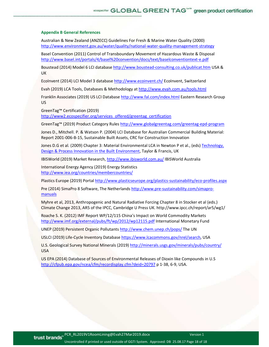#### **Appendix B General References**

Australian & New Zealand (ANZECC) Guidelines For Fresh & Marine Water Quality (2000) http://www.environment.gov.au/water/quality/national-water-quality-management-strategy

Basel Convention (2011) Control of Transboundary Movement of Hazardous Waste & Disposal http://www.basel.int/portals/4/basel%20convention/docs/text/baselconventiontext-e.pdf

Boustead (2014) Model 6 LCI database http://www.boustead-consulting.co.uk/publicat.htm USA & UK

EcoInvent (2014) LCI Model 3 database http://www.ecoinvent.ch/ EcoInvent, Switzerland

Evah (2019) LCA Tools, Databases & Methodology at http://www.evah.com.au/tools.html

Franklin Associates (2019) US LCI Database http://www.fal.com/index.html Eastern Research Group US

GreenTag™ Certification (2019)

http://www2.ecospecifier.org/services\_offered/greentag\_certification

GreenTag™ (2019) Product Category Rules http://www.globalgreentag.com/greentag-epd-program

Jones D., Mitchell. P. & Watson P. (2004) LCI Database for Australian Commercial Building Material: Report 2001-006-B-15, Sustainable Built Assets, CRC for Construction Innovation

Jones D.G et al. (2009) Chapter 3: Material Environmental LCA in Newton P et al., (eds) Technology, Design & Process Innovation in the Built Environment, Taylor & Francis, UK

IBISWorld (2019) Market Research, http://www.ibisworld.com.au/ IBISWorld Australia

International Energy Agency (2019) Energy Statistics http://www.iea.org/countries/membercountries/

Plastics Europe (2019) Portal http://www.plasticseurope.org/plastics-sustainability/eco-profiles.aspx

Pre (2014) SimaPro 8 Software, The Netherlands http://www.pre-sustainability.com/simapromanuals

Myhre et al, 2013, Anthropogenic and Natural Radiative Forcing Chapter 8 in Stocker et al (eds.) Climate Change 2013, AR5 of the IPCC, Cambridge U Press UK. http://www.ipcc.ch/report/ar5/wg1/

Roache S. K. (2012) IMF Report WP/12/115 China's Impact on World Commodity Markets http://www.imf.org/external/pubs/ft/wp/2012/wp12115.pdf International Monetary Fund

UNEP (2019) Persistent Organic Pollutants http://www.chem.unep.ch/pops/ The UN

USLCI (2019) Life-Cycle Inventory Database https://www.lcacommons.gov/nrel/search, USA

U.S. Geological Survey National Minerals (2019) http://minerals.usgs.gov/minerals/pubs/country/ USA

US EPA (2014) Database of Sources of Environmental Releases of Dioxin like Compounds in U.S http://cfpub.epa.gov/ncea/cfm/recordisplay.cfm?deid=20797 p 1-38, 6-9, USA.